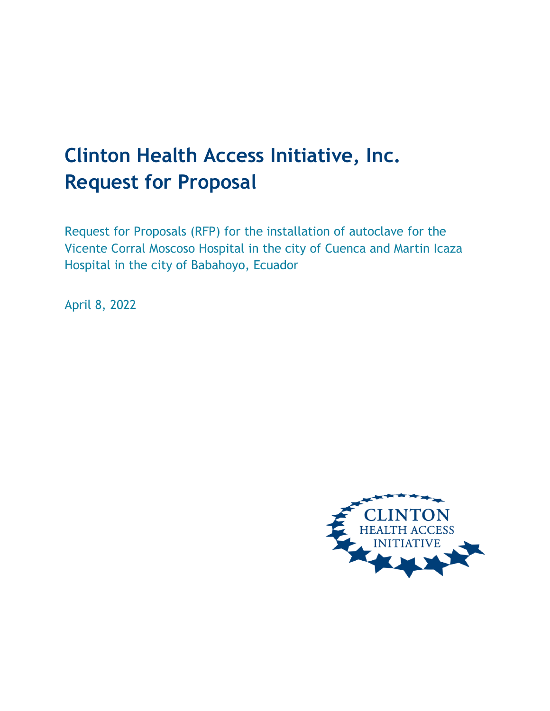# **Clinton Health Access Initiative, Inc. Request for Proposal**

Request for Proposals (RFP) for the installation of autoclave for the Vicente Corral Moscoso Hospital in the city of Cuenca and Martin Icaza Hospital in the city of Babahoyo, Ecuador

April 8, 2022

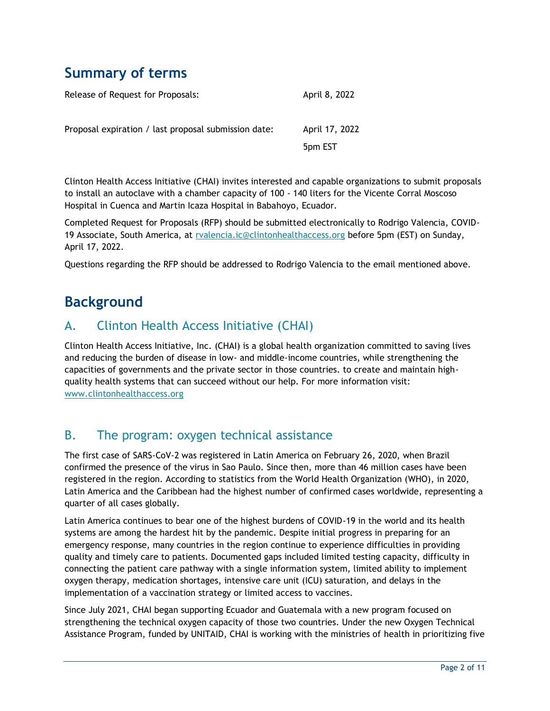## **Summary of terms**

| Release of Request for Proposals:                    | April 8, 2022  |
|------------------------------------------------------|----------------|
| Proposal expiration / last proposal submission date: | April 17, 2022 |
|                                                      | 5pm EST        |

Clinton Health Access Initiative (CHAI) invites interested and capable organizations to submit proposals to install an autoclave with a chamber capacity of 100 - 140 liters for the Vicente Corral Moscoso Hospital in Cuenca and Martin Icaza Hospital in Babahoyo, Ecuador.

Completed Request for Proposals (RFP) should be submitted electronically to Rodrigo Valencia, COVID-19 Associate, South America, at [rvalencia.ic@clintonhealthaccess.org](mailto:rvalencia.ic@clintonhealthaccess.org) before 5pm (EST) on Sunday, April 17, 2022.

Questions regarding the RFP should be addressed to Rodrigo Valencia to the email mentioned above.

## **Background**

### A. Clinton Health Access Initiative (CHAI)

Clinton Health Access Initiative, Inc. (CHAI) is a global health organization committed to saving lives and reducing the burden of disease in low- and middle-income countries, while strengthening the capacities of governments and the private sector in those countries. to create and maintain highquality health systems that can succeed without our help. For more information visit: [www.clintonhealthaccess.org](http://www.clintonhealthaccess.org/)

### B. The program: oxygen technical assistance

The first case of SARS-CoV-2 was registered in Latin America on February 26, 2020, when Brazil confirmed the presence of the virus in Sao Paulo. Since then, more than 46 million cases have been registered in the region. According to statistics from the World Health Organization (WHO), in 2020, Latin America and the Caribbean had the highest number of confirmed cases worldwide, representing a quarter of all cases globally.

Latin America continues to bear one of the highest burdens of COVID-19 in the world and its health systems are among the hardest hit by the pandemic. Despite initial progress in preparing for an emergency response, many countries in the region continue to experience difficulties in providing quality and timely care to patients. Documented gaps included limited testing capacity, difficulty in connecting the patient care pathway with a single information system, limited ability to implement oxygen therapy, medication shortages, intensive care unit (ICU) saturation, and delays in the implementation of a vaccination strategy or limited access to vaccines.

Since July 2021, CHAI began supporting Ecuador and Guatemala with a new program focused on strengthening the technical oxygen capacity of those two countries. Under the new Oxygen Technical Assistance Program, funded by UNITAID, CHAI is working with the ministries of health in prioritizing five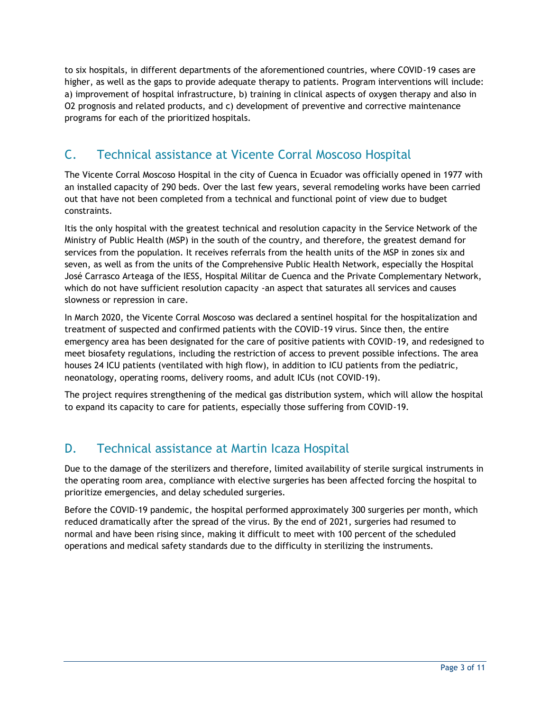to six hospitals, in different departments of the aforementioned countries, where COVID-19 cases are higher, as well as the gaps to provide adequate therapy to patients. Program interventions will include: a) improvement of hospital infrastructure, b) training in clinical aspects of oxygen therapy and also in O2 prognosis and related products, and c) development of preventive and corrective maintenance programs for each of the prioritized hospitals.

## C. Technical assistance at Vicente Corral Moscoso Hospital

The Vicente Corral Moscoso Hospital in the city of Cuenca in Ecuador was officially opened in 1977 with an installed capacity of 290 beds. Over the last few years, several remodeling works have been carried out that have not been completed from a technical and functional point of view due to budget constraints.

Itis the only hospital with the greatest technical and resolution capacity in the Service Network of the Ministry of Public Health (MSP) in the south of the country, and therefore, the greatest demand for services from the population. It receives referrals from the health units of the MSP in zones six and seven, as well as from the units of the Comprehensive Public Health Network, especially the Hospital José Carrasco Arteaga of the IESS, Hospital Militar de Cuenca and the Private Complementary Network, which do not have sufficient resolution capacity -an aspect that saturates all services and causes slowness or repression in care.

In March 2020, the Vicente Corral Moscoso was declared a sentinel hospital for the hospitalization and treatment of suspected and confirmed patients with the COVID-19 virus. Since then, the entire emergency area has been designated for the care of positive patients with COVID-19, and redesigned to meet biosafety regulations, including the restriction of access to prevent possible infections. The area houses 24 ICU patients (ventilated with high flow), in addition to ICU patients from the pediatric, neonatology, operating rooms, delivery rooms, and adult ICUs (not COVID-19).

The project requires strengthening of the medical gas distribution system, which will allow the hospital to expand its capacity to care for patients, especially those suffering from COVID-19.

## D. Technical assistance at Martin Icaza Hospital

Due to the damage of the sterilizers and therefore, limited availability of sterile surgical instruments in the operating room area, compliance with elective surgeries has been affected forcing the hospital to prioritize emergencies, and delay scheduled surgeries.

Before the COVID-19 pandemic, the hospital performed approximately 300 surgeries per month, which reduced dramatically after the spread of the virus. By the end of 2021, surgeries had resumed to normal and have been rising since, making it difficult to meet with 100 percent of the scheduled operations and medical safety standards due to the difficulty in sterilizing the instruments.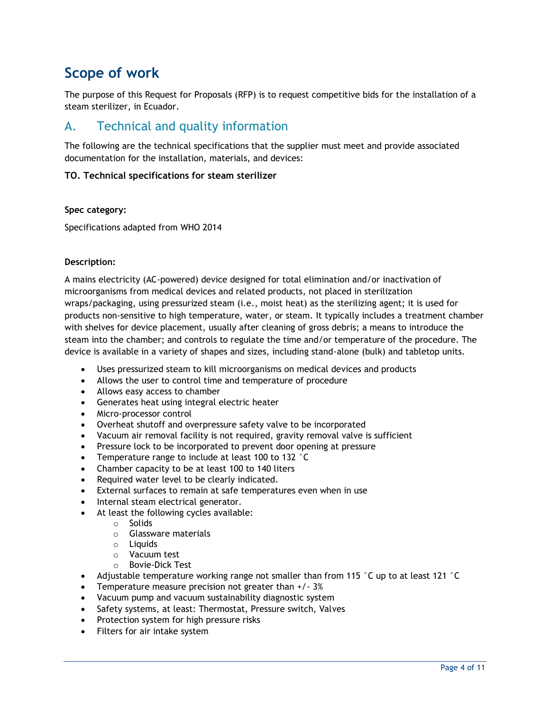## **Scope of work**

The purpose of this Request for Proposals (RFP) is to request competitive bids for the installation of a steam sterilizer, in Ecuador.

## A. Technical and quality information

The following are the technical specifications that the supplier must meet and provide associated documentation for the installation, materials, and devices:

### **TO. Technical specifications for steam sterilizer**

#### **Spec category:**

Specifications adapted from WHO 2014

#### **Description:**

A mains electricity (AC-powered) device designed for total elimination and/or inactivation of microorganisms from medical devices and related products, not placed in sterilization wraps/packaging, using pressurized steam (i.e., moist heat) as the sterilizing agent; it is used for products non-sensitive to high temperature, water, or steam. It typically includes a treatment chamber with shelves for device placement, usually after cleaning of gross debris; a means to introduce the steam into the chamber; and controls to regulate the time and/or temperature of the procedure. The device is available in a variety of shapes and sizes, including stand-alone (bulk) and tabletop units.

- Uses pressurized steam to kill microorganisms on medical devices and products
- Allows the user to control time and temperature of procedure
- Allows easy access to chamber
- Generates heat using integral electric heater
- Micro-processor control
- Overheat shutoff and overpressure safety valve to be incorporated
- Vacuum air removal facility is not required, gravity removal valve is sufficient
- Pressure lock to be incorporated to prevent door opening at pressure
- Temperature range to include at least 100 to 132 °C
- Chamber capacity to be at least 100 to 140 liters
- Required water level to be clearly indicated.
- External surfaces to remain at safe temperatures even when in use
- Internal steam electrical generator.
- At least the following cycles available:
	- o Solids
	- o Glassware materials
	- o Liquids
	- o Vacuum test
	- o Bovie-Dick Test
- Adjustable temperature working range not smaller than from 115  $\degree$ C up to at least 121  $\degree$ C
- Temperature measure precision not greater than +/- 3%
- Vacuum pump and vacuum sustainability diagnostic system
- Safety systems, at least: Thermostat, Pressure switch, Valves
- Protection system for high pressure risks
- Filters for air intake system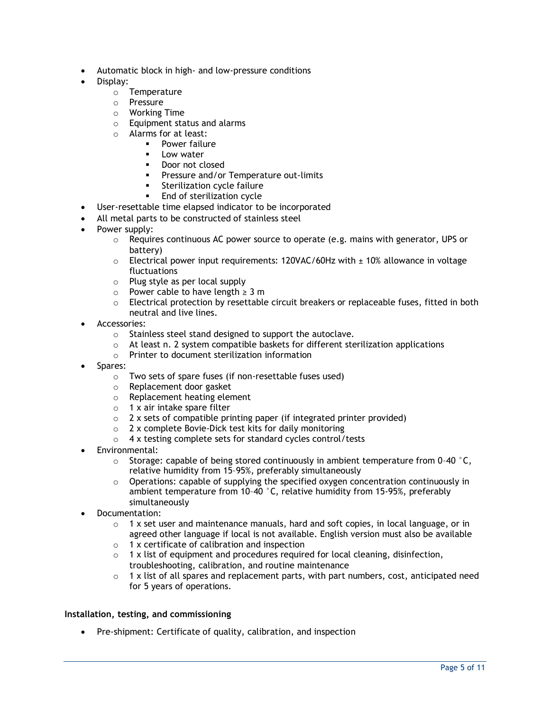- Automatic block in high- and low-pressure conditions
- Display:
	- o Temperature
	- o Pressure
	- o Working Time
	- o Equipment status and alarms
	- o Alarms for at least:
		- Power failure
			- Low water
			- Door not closed
			- Pressure and/or Temperature out-limits
			- Sterilization cycle failure
			- End of sterilization cycle
- User-resettable time elapsed indicator to be incorporated
- All metal parts to be constructed of stainless steel
- Power supply:
	- $\circ$  Requires continuous AC power source to operate (e.g. mains with generator, UPS or battery)
	- $\circ$  Electrical power input requirements: 120VAC/60Hz with  $\pm$  10% allowance in voltage fluctuations
	- o Plug style as per local supply
	- o Power cable to have length ≥ 3 m
	- $\circ$  Electrical protection by resettable circuit breakers or replaceable fuses, fitted in both neutral and live lines.
- Accessories:
	- o Stainless steel stand designed to support the autoclave.
	- o At least n. 2 system compatible baskets for different sterilization applications
	- o Printer to document sterilization information
- Spares:
	- o Two sets of spare fuses (if non-resettable fuses used)
	- o Replacement door gasket
	- o Replacement heating element
	- $\circ$  1 x air intake spare filter
	- $\circ$  2 x sets of compatible printing paper (if integrated printer provided)
	- o 2 x complete Bovie-Dick test kits for daily monitoring
	- o 4 x testing complete sets for standard cycles control/tests
- Environmental:
	- $\circ$  Storage: capable of being stored continuously in ambient temperature from 0-40  $\degree$ C, relative humidity from 15–95%, preferably simultaneously
	- $\circ$  Operations: capable of supplying the specified oxygen concentration continuously in ambient temperature from 10–40 °C, relative humidity from 15-95%, preferably simultaneously
- Documentation:
	- $\circ$  1 x set user and maintenance manuals, hard and soft copies, in local language, or in agreed other language if local is not available. English version must also be available
	- o 1 x certificate of calibration and inspection
	- $\circ$  1 x list of equipment and procedures required for local cleaning, disinfection, troubleshooting, calibration, and routine maintenance
	- $\circ$  1 x list of all spares and replacement parts, with part numbers, cost, anticipated need for 5 years of operations.

#### **Installation, testing, and commissioning**

Pre-shipment: Certificate of quality, calibration, and inspection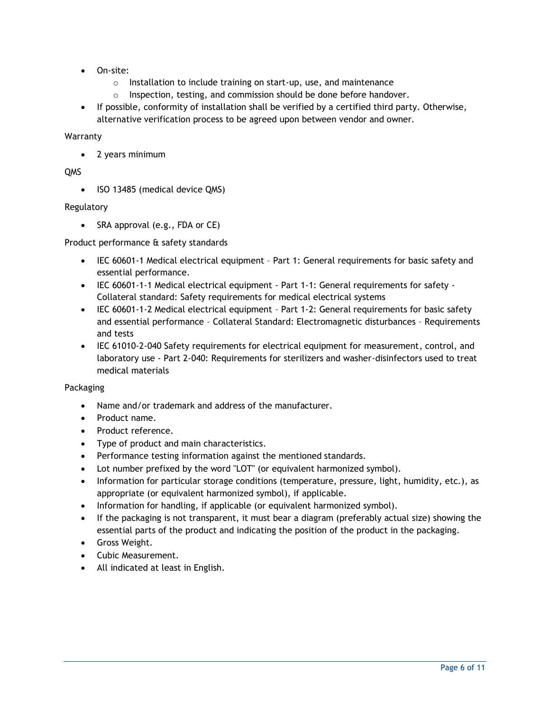- On-site:
	- o Installation to include training on start-up, use, and maintenance
	- $\circ$  Inspection, testing, and commission should be done before handover.
- If possible, conformity of installation shall be verified by a certified third party. Otherwise, alternative verification process to be agreed upon between vendor and owner.

#### Warranty

• 2 years minimum

### QMS

• ISO 13485 (medical device QMS)

### Regulatory

• SRA approval (e.g., FDA or CE)

#### Product performance & safety standards

- IEC 60601-1 Medical electrical equipment Part 1: General requirements for basic safety and essential performance.
- IEC 60601-1-1 Medical electrical equipment Part 1-1: General requirements for safety Collateral standard: Safety requirements for medical electrical systems
- IEC 60601-1-2 Medical electrical equipment Part 1-2: General requirements for basic safety and essential performance – Collateral Standard: Electromagnetic disturbances – Requirements and tests
- IEC 61010-2-040 Safety requirements for electrical equipment for measurement, control, and laboratory use - Part 2-040: Requirements for sterilizers and washer-disinfectors used to treat medical materials

#### Packaging

- Name and/or trademark and address of the manufacturer.
- Product name.
- Product reference.
- Type of product and main characteristics.
- Performance testing information against the mentioned standards.
- Lot number prefixed by the word "LOT" (or equivalent harmonized symbol).
- Information for particular storage conditions (temperature, pressure, light, humidity, etc.), as appropriate (or equivalent harmonized symbol), if applicable.
- Information for handling, if applicable (or equivalent harmonized symbol).
- If the packaging is not transparent, it must bear a diagram (preferably actual size) showing the essential parts of the product and indicating the position of the product in the packaging.
- Gross Weight.
- Cubic Measurement.
- All indicated at least in English.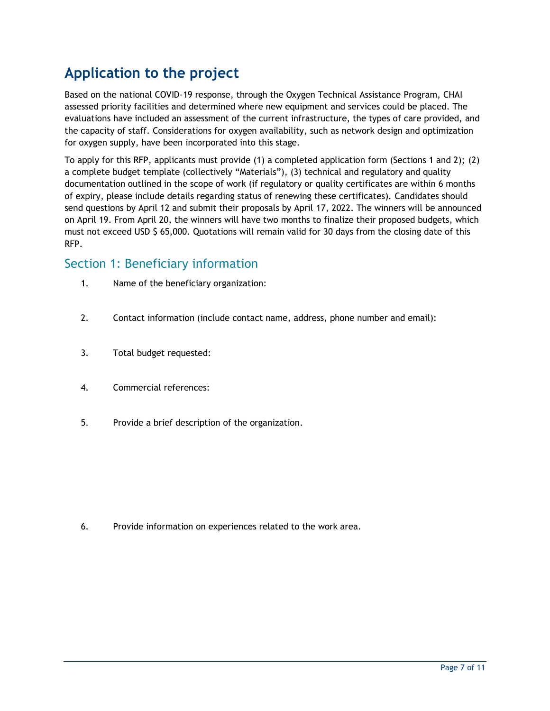## **Application to the project**

Based on the national COVID-19 response, through the Oxygen Technical Assistance Program, CHAI assessed priority facilities and determined where new equipment and services could be placed. The evaluations have included an assessment of the current infrastructure, the types of care provided, and the capacity of staff. Considerations for oxygen availability, such as network design and optimization for oxygen supply, have been incorporated into this stage.

To apply for this RFP, applicants must provide (1) a completed application form (Sections 1 and 2); (2) a complete budget template (collectively "Materials"), (3) technical and regulatory and quality documentation outlined in the scope of work (if regulatory or quality certificates are within 6 months of expiry, please include details regarding status of renewing these certificates). Candidates should send questions by April 12 and submit their proposals by April 17, 2022. The winners will be announced on April 19. From April 20, the winners will have two months to finalize their proposed budgets, which must not exceed USD \$ 65,000. Quotations will remain valid for 30 days from the closing date of this RFP.

### Section 1: Beneficiary information

- 1. Name of the beneficiary organization:
- 2. Contact information (include contact name, address, phone number and email):
- 3. Total budget requested:
- 4. Commercial references:
- 5. Provide a brief description of the organization.

6. Provide information on experiences related to the work area.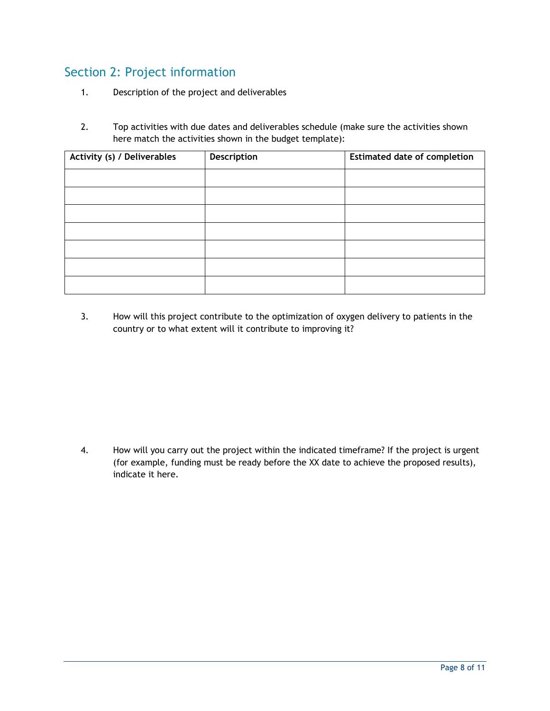## Section 2: Project information

- 1. Description of the project and deliverables
- 2. Top activities with due dates and deliverables schedule (make sure the activities shown here match the activities shown in the budget template):

| Activity (s) / Deliverables | Description | <b>Estimated date of completion</b> |
|-----------------------------|-------------|-------------------------------------|
|                             |             |                                     |
|                             |             |                                     |
|                             |             |                                     |
|                             |             |                                     |
|                             |             |                                     |
|                             |             |                                     |
|                             |             |                                     |

3. How will this project contribute to the optimization of oxygen delivery to patients in the country or to what extent will it contribute to improving it?

4. How will you carry out the project within the indicated timeframe? If the project is urgent (for example, funding must be ready before the XX date to achieve the proposed results), indicate it here.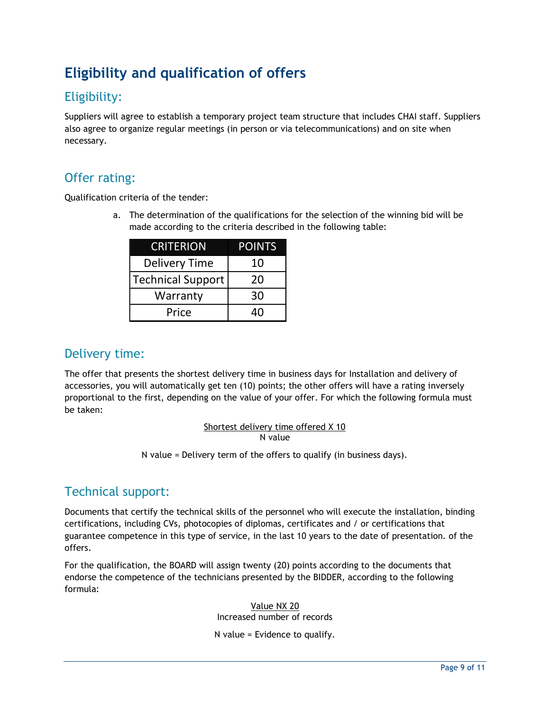## **Eligibility and qualification of offers**

## Eligibility:

Suppliers will agree to establish a temporary project team structure that includes CHAI staff. Suppliers also agree to organize regular meetings (in person or via telecommunications) and on site when necessary.

### Offer rating:

Qualification criteria of the tender:

a. The determination of the qualifications for the selection of the winning bid will be made according to the criteria described in the following table:

| CRITERION                | <b>POINTS</b> |
|--------------------------|---------------|
| <b>Delivery Time</b>     | 10            |
| <b>Technical Support</b> | 20            |
| Warranty                 | 30            |
| Price                    | ⊿∩            |

### Delivery time:

The offer that presents the shortest delivery time in business days for Installation and delivery of accessories, you will automatically get ten (10) points; the other offers will have a rating inversely proportional to the first, depending on the value of your offer. For which the following formula must be taken:

### Shortest delivery time offered X 10 N value

N value = Delivery term of the offers to qualify (in business days).

## Technical support:

Documents that certify the technical skills of the personnel who will execute the installation, binding certifications, including CVs, photocopies of diplomas, certificates and / or certifications that guarantee competence in this type of service, in the last 10 years to the date of presentation. of the offers.

For the qualification, the BOARD will assign twenty (20) points according to the documents that endorse the competence of the technicians presented by the BIDDER, according to the following formula:

> Value NX 20 Increased number of records

N value = Evidence to qualify.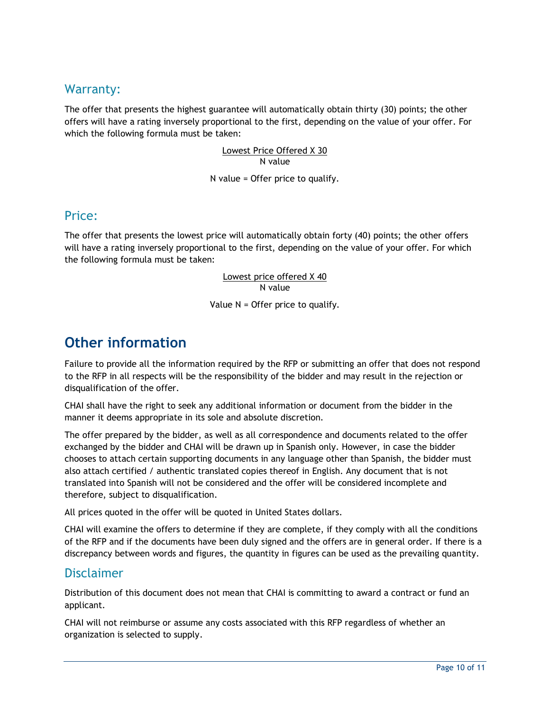### Warranty:

The offer that presents the highest guarantee will automatically obtain thirty (30) points; the other offers will have a rating inversely proportional to the first, depending on the value of your offer. For which the following formula must be taken:

> Lowest Price Offered X 30 N value

N value = Offer price to qualify.

### Price:

The offer that presents the lowest price will automatically obtain forty (40) points; the other offers will have a rating inversely proportional to the first, depending on the value of your offer. For which the following formula must be taken:

### Lowest price offered X 40 N value

#### Value N = Offer price to qualify.

## **Other information**

Failure to provide all the information required by the RFP or submitting an offer that does not respond to the RFP in all respects will be the responsibility of the bidder and may result in the rejection or disqualification of the offer.

CHAI shall have the right to seek any additional information or document from the bidder in the manner it deems appropriate in its sole and absolute discretion.

The offer prepared by the bidder, as well as all correspondence and documents related to the offer exchanged by the bidder and CHAI will be drawn up in Spanish only. However, in case the bidder chooses to attach certain supporting documents in any language other than Spanish, the bidder must also attach certified / authentic translated copies thereof in English. Any document that is not translated into Spanish will not be considered and the offer will be considered incomplete and therefore, subject to disqualification.

All prices quoted in the offer will be quoted in United States dollars.

CHAI will examine the offers to determine if they are complete, if they comply with all the conditions of the RFP and if the documents have been duly signed and the offers are in general order. If there is a discrepancy between words and figures, the quantity in figures can be used as the prevailing quantity.

### Disclaimer

Distribution of this document does not mean that CHAI is committing to award a contract or fund an applicant.

CHAI will not reimburse or assume any costs associated with this RFP regardless of whether an organization is selected to supply.